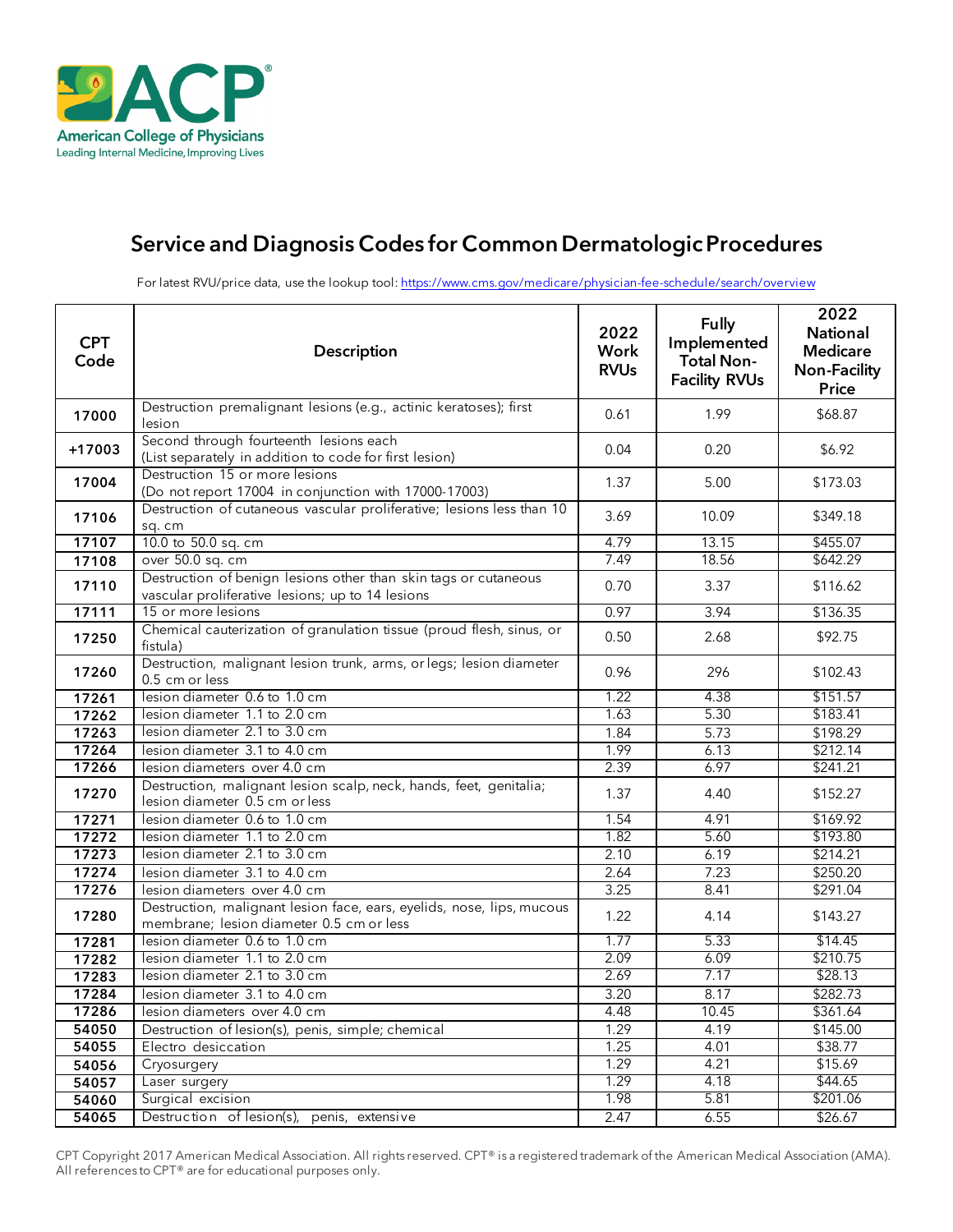

# Service and Diagnosis Codes for Common Dermatologic Procedures

For latest RVU/price data, use the lookup tool:<https://www.cms.gov/medicare/physician-fee-schedule/search/overview>

| <b>CPT</b><br>Code | <b>Description</b>                                                                                                  | 2022<br>Work<br><b>RVUs</b> | <b>Fully</b><br>Implemented<br><b>Total Non-</b><br><b>Facility RVUs</b> | 2022<br><b>National</b><br><b>Medicare</b><br><b>Non-Facility</b><br><b>Price</b> |
|--------------------|---------------------------------------------------------------------------------------------------------------------|-----------------------------|--------------------------------------------------------------------------|-----------------------------------------------------------------------------------|
| 17000              | Destruction premalignant lesions (e.g., actinic keratoses); first<br>lesion                                         | 0.61                        | 1.99                                                                     | \$68.87                                                                           |
| +17003             | Second through fourteenth lesions each<br>(List separately in addition to code for first lesion)                    | 0.04                        | 0.20                                                                     | \$6.92                                                                            |
| 17004              | Destruction 15 or more lesions<br>(Do not report 17004 in conjunction with 17000-17003)                             | 1.37                        | 5.00                                                                     | \$173.03                                                                          |
| 17106              | Destruction of cutaneous vascular proliferative; lesions less than 10<br>sq. cm                                     | 3.69                        | 10.09                                                                    | \$349.18                                                                          |
| 17107              | 10.0 to 50.0 sq. cm                                                                                                 | 4.79                        | 13.15                                                                    | \$455.07                                                                          |
| 17108              | over 50.0 sq. cm                                                                                                    | 7.49                        | 18.56                                                                    | \$642.29                                                                          |
| 17110              | Destruction of benign lesions other than skin tags or cutaneous<br>vascular proliferative lesions; up to 14 lesions | 0.70                        | 3.37                                                                     | \$116.62                                                                          |
| 17111              | 15 or more lesions                                                                                                  | 0.97                        | 3.94                                                                     | \$136.35                                                                          |
| 17250              | Chemical cauterization of granulation tissue (proud flesh, sinus, or<br>fistula)                                    | 0.50                        | 2.68                                                                     | \$92.75                                                                           |
| 17260              | Destruction, malignant lesion trunk, arms, or legs; lesion diameter<br>0.5 cm or less                               | 0.96                        | 296                                                                      | \$102.43                                                                          |
| 17261              | lesion diameter 0.6 to 1.0 cm                                                                                       | 1.22                        | 4.38                                                                     | \$151.57                                                                          |
| 17262              | lesion diameter 1.1 to 2.0 cm                                                                                       | 1.63                        | 5.30                                                                     | \$183.41                                                                          |
| 17263              | lesion diameter 2.1 to 3.0 cm                                                                                       | 1.84                        | 5.73                                                                     | \$198.29                                                                          |
| 17264              | lesion diameter 3.1 to 4.0 cm                                                                                       | 1.99                        | 6.13                                                                     | \$212.14                                                                          |
| 17266              | lesion diameters over 4.0 cm                                                                                        | 2.39                        | 6.97                                                                     | \$241.21                                                                          |
| 17270              | Destruction, malignant lesion scalp, neck, hands, feet, genitalia;<br>lesion diameter 0.5 cm or less                | 1.37                        | 4.40                                                                     | \$152.27                                                                          |
| 17271              | lesion diameter 0.6 to 1.0 cm                                                                                       | 1.54                        | 4.91                                                                     | \$169.92                                                                          |
| 17272              | lesion diameter 1.1 to 2.0 cm                                                                                       | 1.82                        | 5.60                                                                     | \$193.80                                                                          |
| 17273              | lesion diameter 2.1 to 3.0 cm                                                                                       | 2.10                        | 6.19                                                                     | \$214.21                                                                          |
| 17274              | lesion diameter 3.1 to 4.0 cm                                                                                       | 2.64                        | 7.23                                                                     | \$250.20                                                                          |
| 17276              | lesion diameters over 4.0 cm                                                                                        | 3.25                        | 8.41                                                                     | \$291.04                                                                          |
| 17280              | Destruction, malignant lesion face, ears, eyelids, nose, lips, mucous<br>membrane; lesion diameter 0.5 cm or less   | 1.22                        | 4.14                                                                     | \$143.27                                                                          |
| 17281              | lesion diameter 0.6 to 1.0 cm                                                                                       | 1.77                        | 5.33                                                                     | \$14.45                                                                           |
| 17282              | lesion diameter 1.1 to 2.0 cm                                                                                       | 2.09                        | 6.09                                                                     | \$210.75                                                                          |
| 17283              | lesion diameter 2.1 to 3.0 cm                                                                                       | 2.69                        | 7.17                                                                     | \$28.13                                                                           |
| 17284              | lesion diameter 3.1 to 4.0 cm                                                                                       | 3.20                        | 8.17                                                                     | \$282.73                                                                          |
| 17286              | lesion diameters over 4.0 cm                                                                                        | 4.48                        | 10.45                                                                    | \$361.64                                                                          |
| 54050              | Destruction of lesion(s), penis, simple; chemical                                                                   | 1.29                        | 4.19                                                                     | \$145.00                                                                          |
| 54055              | Electro desiccation                                                                                                 | 1.25                        | 4.01                                                                     | \$38.77                                                                           |
| 54056              | Cryosurgery                                                                                                         | 1.29                        | 4.21                                                                     | \$15.69                                                                           |
| 54057              | Laser surgery                                                                                                       | 1.29                        | 4.18                                                                     | \$44.65                                                                           |
| 54060              | Surgical excision<br>Destruction of lesion(s), penis, extensive                                                     | 1.98<br>2.47                | 5.81                                                                     | \$201.06                                                                          |
| 54065              |                                                                                                                     |                             | 6.55                                                                     | \$26.67                                                                           |

CPT Copyright 2017 American Medical Association. All rights reserved. CPT® is a registered trademark of the American Medical Association (AMA). All references to CPT® are for educational purposes only.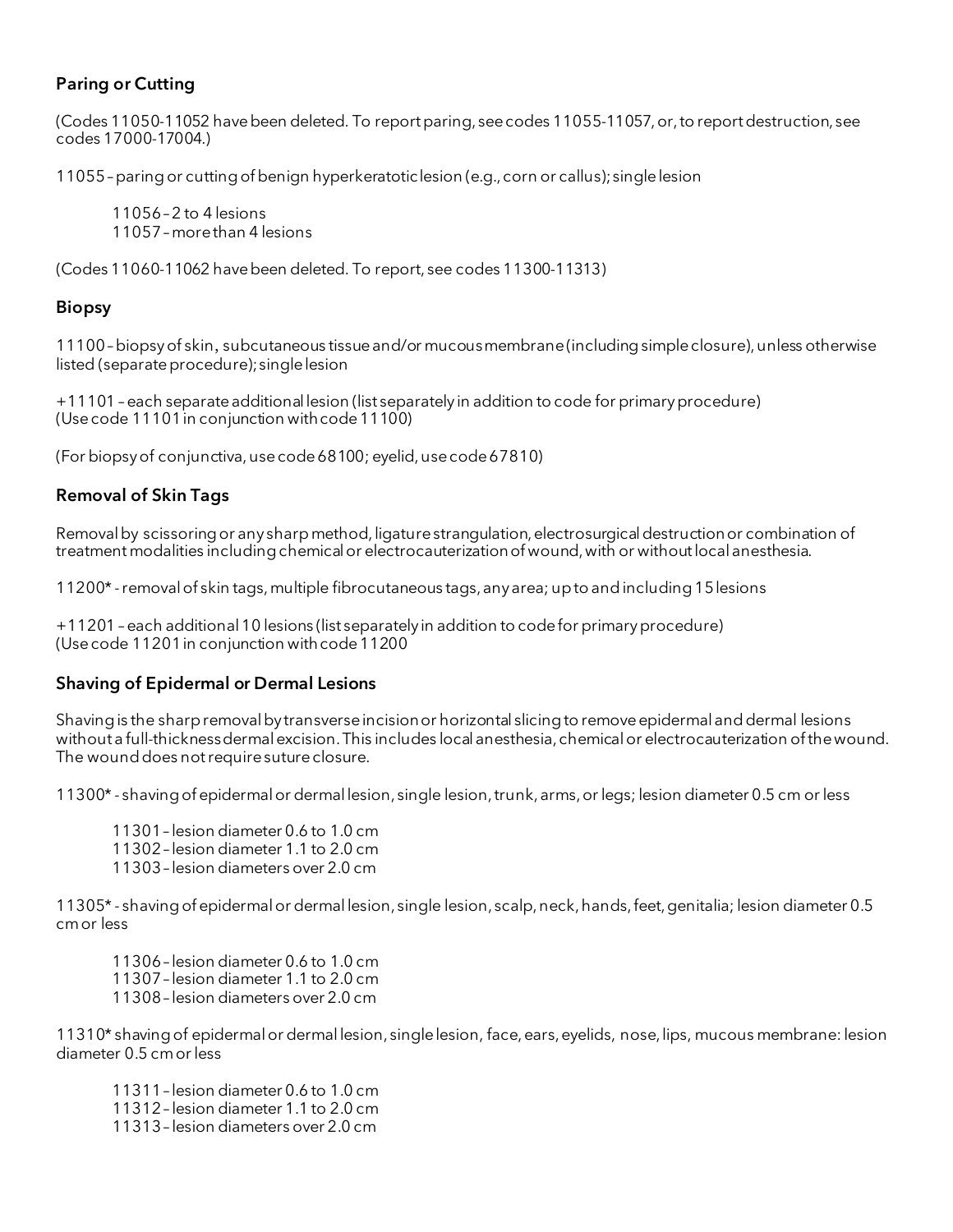## Paring or Cutting

(Codes 11050-11052 have been deleted. To report paring, see codes 11055-11057, or, to report destruction, see codes 17000-17004.)

11055 –paring or cutting of benign hyperkeratotic lesion (e.g., corn or callus); single lesion

11056 –2 to 4 lesions 11057 –more than 4 lesions

(Codes 11060-11062 have been deleted. To report, see codes 11300-11313)

#### Biopsy

11100 –biopsy of skin, subcutaneous tissue and/or mucous membrane (including simple closure), unless otherwise listed (separate procedure); single lesion

+11101 –each separate additional lesion (list separately in addition to code for primary procedure) (Use code 11101 in conjunction with code 11100)

(For biopsy of conjunctiva, usecode68100; eyelid, usecode67810)

## Removal of Skin Tags

Removal by scissoring or any sharp method, ligature strangulation, electrosurgical destruction or combination of treatment modalities including chemical or electrocauterization of wound, with or without local anesthesia.

11200\* -removal of skin tags,multiple fibrocutaneous tags, any area; up to and including 15 lesions

+11201 –each additional 10 lesions (list separately in addition to code for primary procedure) (Use code 11201 in conjunction with code 11200

#### Shaving of Epidermal or Dermal Lesions

Shaving is the sharp removal by transverse incision or horizontal slicing to remove epidermal and dermal lesions without a full-thicknessdermal excision. This includes local anesthesia, chemical or electrocauterization of the wound. The wound does not require suture closure.

11300\* - shaving of epidermal or dermal lesion, single lesion, trunk, arms,or legs; lesion diameter 0.5 cm or less

11301 – lesion diameter 0.6 to 1.0 cm 11302 – lesion diameter 1.1 to 2.0 cm 11303 – lesion diameters over 2.0 cm

11305\* - shaving of epidermal or dermal lesion, single lesion, scalp, neck, hands, feet, genitalia; lesion diameter 0.5 cm or less

11306 – lesion diameter 0.6 to 1.0 cm 11307 – lesion diameter 1.1 to 2.0 cm 11308– lesion diameters over 2.0 cm

11310\* shaving of epidermal or dermal lesion, single lesion, face, ears, eyelids, nose, lips, mucous membrane: lesion diameter 0.5 cm or less

11311 – lesion diameter 0.6 to 1.0 cm 11312 – lesion diameter 1.1 to 2.0 cm 11313 – lesion diameters over 2.0 cm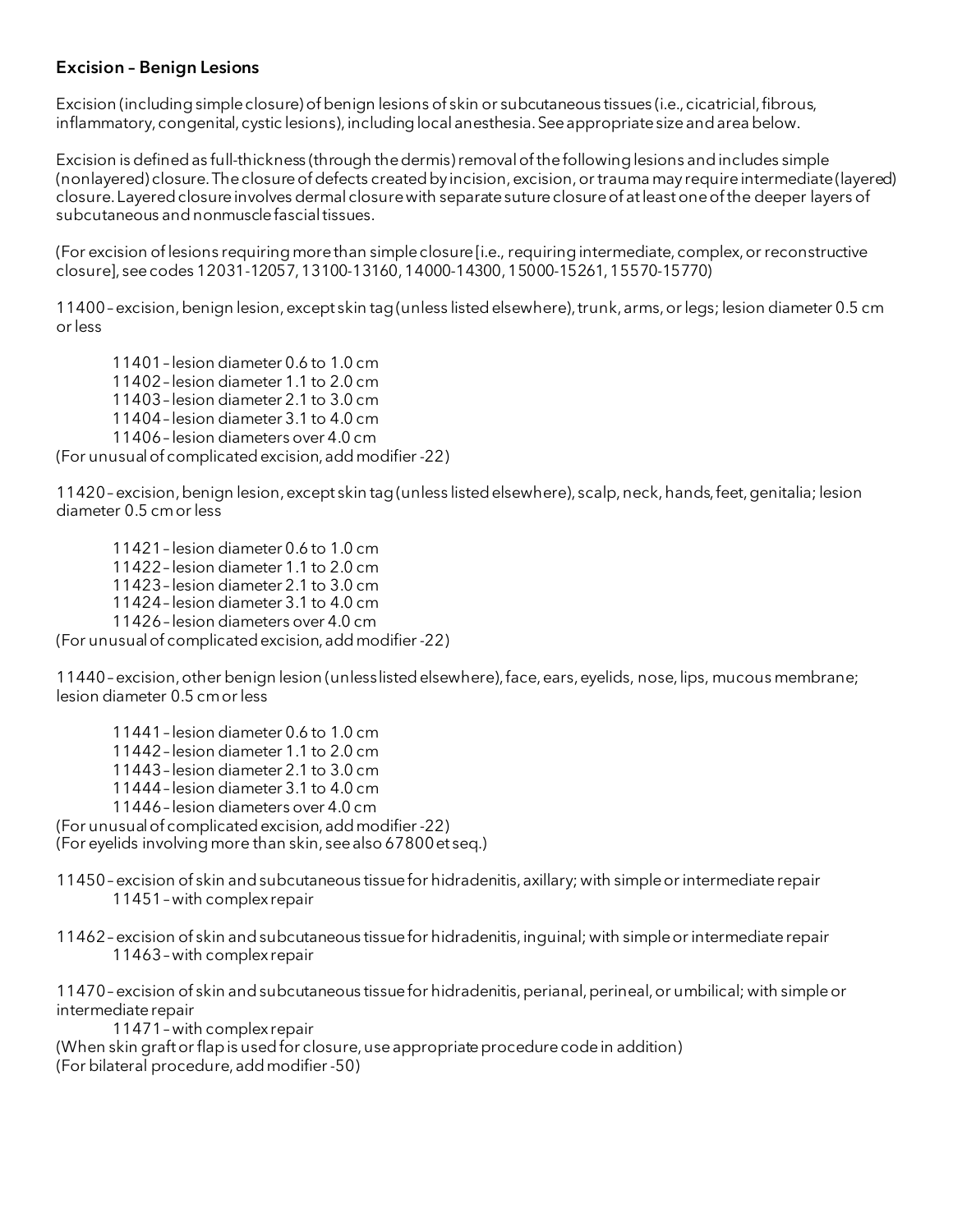# Excision – Benign Lesions

Excision (including simple closure) of benign lesions of skin or subcutaneous tissues (i.e., cicatricial, fibrous, inflammatory, congenital, cystic lesions), including local anesthesia. See appropriate size and area below.

Excision is defined as full-thickness (through the dermis) removal of the following lesions and includes simple (nonlayered) closure. The closure of defects created by incision, excision, or trauma may require intermediate (layered) closure.Layered closure involves dermal closure with separate suture closure of at least one of the deeper layers of subcutaneous and nonmuscle fascial tissues.

(For excision of lesions requiring more than simple closure [i.e., requiring intermediate, complex, or reconstructive closure], see codes 12031-12057, 13100-13160, 14000-14300, 15000-15261, 15570-15770)

11400 –excision,benign lesion, except skin tag (unless listed elsewhere), trunk, arms, or legs; lesion diameter 0.5 cm or less

11401 – lesion diameter 0.6 to 1.0 cm 11402 – lesion diameter 1.1 to 2.0 cm 11403 – lesion diameter 2.1 to 3.0 cm 11404 – lesion diameter 3.1 to 4.0 cm 11406 – lesion diameters over 4.0 cm (For unusual of complicated excision, add modifier -22)

11420 –excision,benign lesion, except skin tag (unless listed elsewhere), scalp, neck, hands, feet, genitalia; lesion diameter 0.5 cm or less

11421 – lesion diameter 0.6 to 1.0 cm 11422 – lesion diameter 1.1 to 2.0 cm 11423 – lesion diameter 2.1 to 3.0 cm 11424 – lesion diameter 3.1 to 4.0 cm 11426 – lesion diameters over 4.0 cm

(For unusual of complicated excision, add modifier -22)

11440 –excision,other benign lesion (unless listed elsewhere), face, ears, eyelids, nose, lips, mucous membrane; lesion diameter 0.5 cm or less

11441 – lesion diameter 0.6 to 1.0 cm 11442 – lesion diameter 1.1 to 2.0 cm 11443 – lesion diameter 2.1 to 3.0 cm 11444 – lesion diameter 3.1 to 4.0 cm 11446 – lesion diameters over 4.0 cm (For unusual of complicated excision, add modifier -22) (For eyelids involving more than skin, see also 67800 et seq.)

11450 –excision of skin and subcutaneous tissue for hidradenitis, axillary; with simple or intermediate repair 11451 –with complex repair

11462 –excision of skin and subcutaneous tissue for hidradenitis, inguinal; with simple or intermediate repair 11463 –with complex repair

11470 –excision of skin and subcutaneous tissue for hidradenitis, perianal, perineal, or umbilical; with simple or intermediate repair

11471 –with complex repair

(When skin graft or flap is used for closure, use appropriate procedure code in addition) (For bilateral procedure, add modifier -50)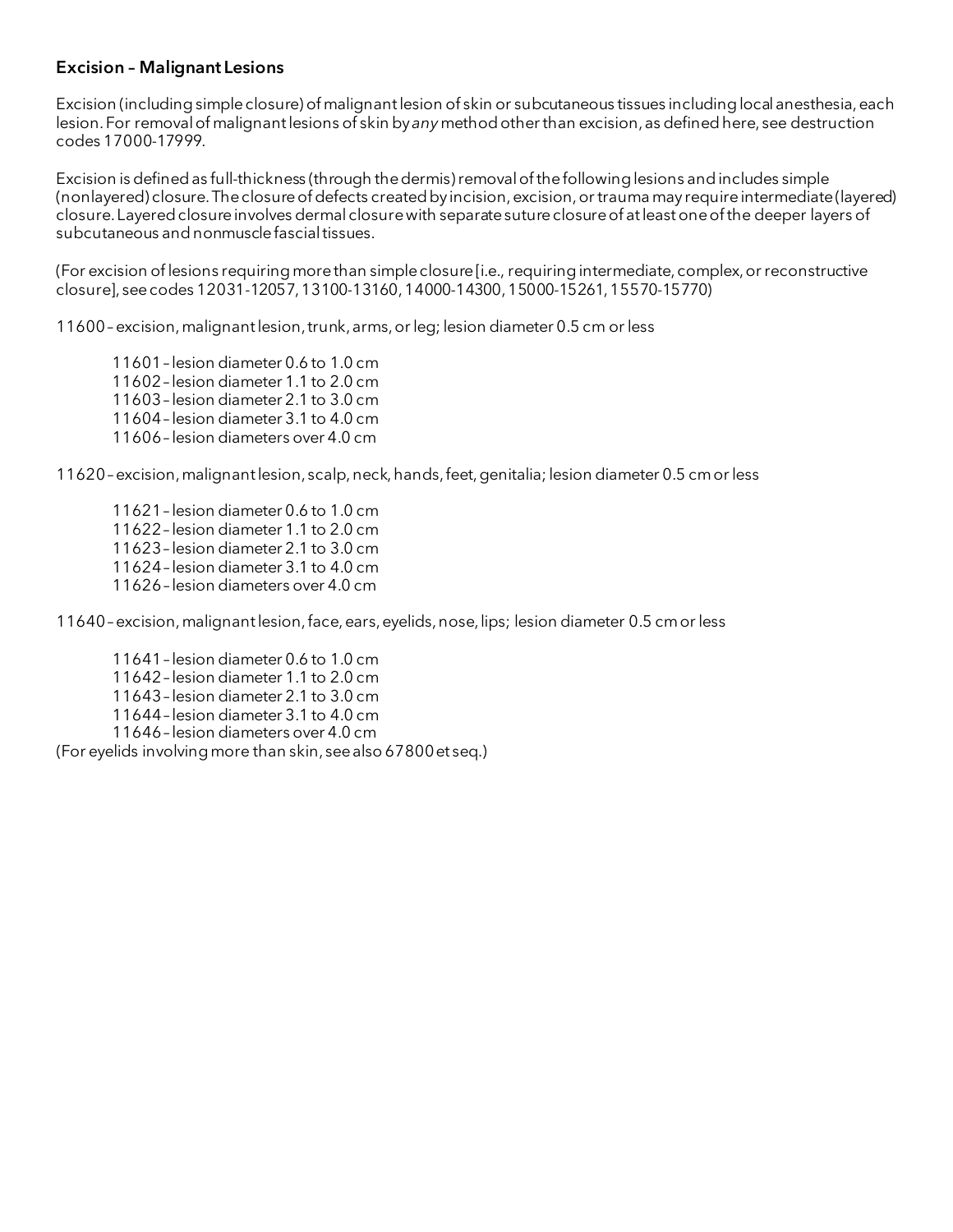#### Excision – Malignant Lesions

Excision (including simple closure) of malignant lesion of skin or subcutaneous tissues including local anesthesia, each lesion. For removal of malignant lesions of skin by *any*method other than excision, as definedhere, see destruction codes 17000-17999.

Excision is definedas full-thickness (through the dermis) removal of the following lesions and includes simple (nonlayered) closure. The closure of defects created by incision, excision, or trauma may require intermediate (layered) closure.Layered closure involves dermal closure with separate suture closure of at least one of the deeper layers of subcutaneous and nonmuscle fascial tissues.

(For excision of lesions requiring more than simple closure [i.e., requiring intermediate, complex, or reconstructive closure], seecodes 12031-12057, 13100-13160, 14000-14300, 15000-15261, 15570-15770)

11600 –excision, malignant lesion, trunk, arms, or leg; lesion diameter 0.5 cm or less

11601 – lesion diameter 0.6 to 1.0 cm 11602 – lesion diameter 1.1 to 2.0 cm 11603 – lesion diameter 2.1 to 3.0 cm 11604 – lesion diameter 3.1 to 4.0 cm 11606 – lesion diameters over 4.0 cm

11620 –excision, malignant lesion, scalp, neck, hands, feet, genitalia; lesion diameter 0.5 cm or less

11621 – lesion diameter 0.6 to 1.0 cm 11622 – lesion diameter 1.1 to 2.0 cm 11623 – lesion diameter 2.1 to 3.0 cm 11624 – lesion diameter 3.1 to 4.0 cm 11626 – lesion diameters over 4.0 cm

11640 –excision, malignant lesion, face, ears, eyelids, nose, lips; lesion diameter 0.5 cm or less

11641 – lesion diameter 0.6 to 1.0 cm 11642 – lesion diameter 1.1 to 2.0 cm 11643 – lesion diameter 2.1 to 3.0 cm 11644 – lesion diameter 3.1 to 4.0 cm 11646 – lesion diameters over 4.0 cm (For eyelids involving more than skin, see also 67800 et seq.)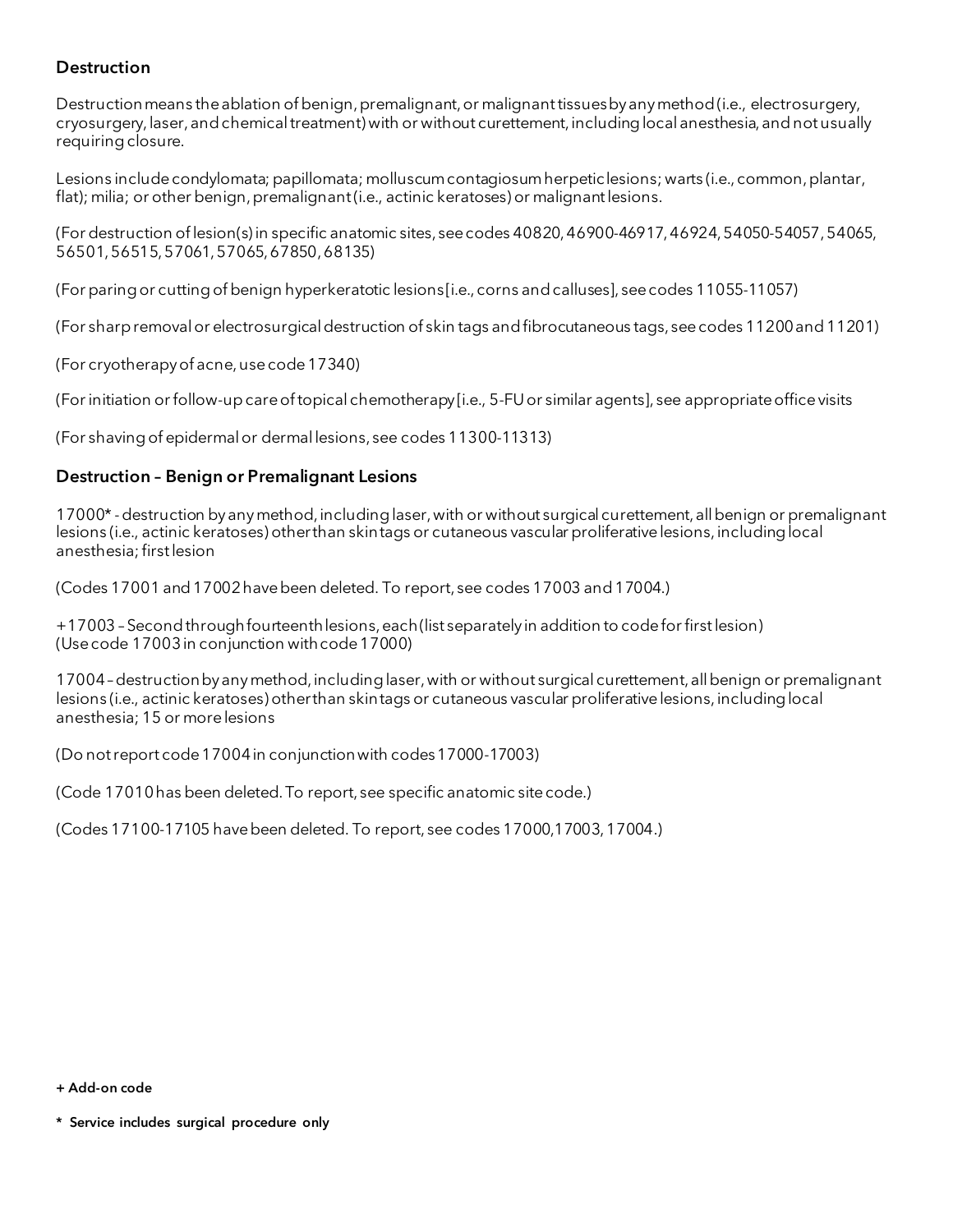# **Destruction**

Destruction means the ablation of benign, premalignant,or malignant tissues by any method(i.e., electrosurgery, cryosurgery, laser,and chemical treatment) with or without curettement, including local anesthesia, and not usually requiring closure.

Lesions include condylomata; papillomata; molluscum contagiosum herpetic lesions; warts (i.e., common, plantar, flat); milia; or other benign, premalignant (i.e., actinic keratoses) or malignant lesions.

(For destruction of lesion(s) in specific anatomic sites, seecodes 40820, 46900-46917, 46924, 54050-54057, 54065, 56501, 56515, 57061, 57065, 67850, 68135)

(For paring or cutting of benign hyperkeratotic lesions [i.e., corns and calluses], see codes 11055-11057)

(For sharp removal or electrosurgical destruction of skin tags and fibrocutaneous tags, see codes 11200and11201)

(For cryotherapy of acne, use code 17340)

(For initiation or follow-up care of topical chemotherapy [i.e., 5-FU or similar agents], see appropriate office visits

(For shaving of epidermal or dermal lesions, see codes 11300-11313)

#### Destruction – Benign or Premalignant Lesions

17000\* -destruction by any method, including laser, with or without surgical curettement, all benign or premalignant lesions (i.e., actinic keratoses) other than skin tags or cutaneous vascular proliferative lesions, including local anesthesia; first lesion

(Codes 17001 and 17002 have been deleted. To report, see codes 17003 and 17004.)

+17003 –Second throughfourteenthlesions, each (list separately in addition to code for first lesion) (Use code 17003 in conjunction with code 17000)

17004 –destruction by any method, including laser, with or without surgical curettement, all benign or premalignant lesions (i.e., actinic keratoses) other than skin tags or cutaneous vascular proliferative lesions, including local anesthesia; 15 or more lesions

(Do not report code 17004 in conjunction with codes 17000-17003)

(Code 17010 has been deleted. To report, see specific anatomic site code.)

(Codes 17100-17105 have been deleted. To report, see codes 17000,17003, 17004.)

<sup>+</sup> Add-on code

<sup>\*</sup> Service includes surgical procedure only